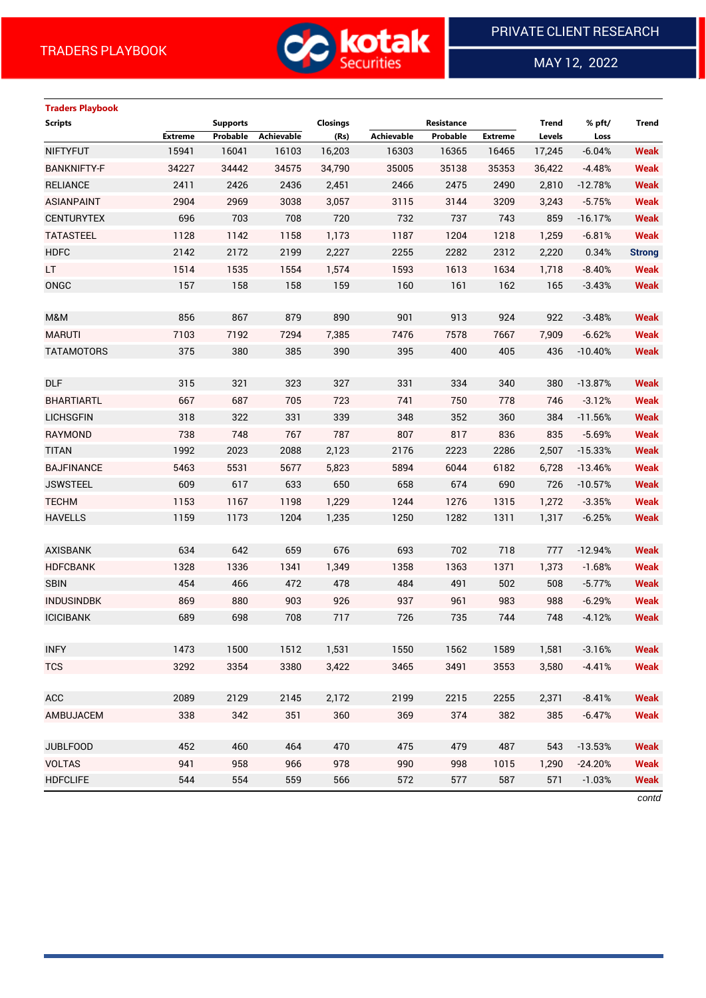

MAY 12, 2022

 $\overline{a}$ 

# **Traders Playbook Scripts Supports Closings Resistance Trend % pft/ Trend Extreme Probable Achievable (Rs) Achievable Probable Extreme Levels Loss** NIFTYFUT 15941 16041 16103 16,203 16303 16365 16465 17,245 -6.04% **Weak** BANKNIFTY-F 34227 34442 34575 34,790 35005 35138 35353 36,422 -4.48% **Weak** RELIANCE 2411 2426 2436 2,451 2466 2475 2490 2,810 -12.78% **Weak** ASIANPAINT 2904 2969 3038 3,057 3115 3144 3209 3,243 -5.75% **Weak** CENTURYTEX 696 703 708 720 732 737 743 859 -16.17% **Weak** TATASTEEL 1128 1142 1158 1,173 1187 1204 1218 1,259 -6.81% **Weak** HDFC 2142 2172 2199 2,227 2255 2282 2312 2,220 0.34% **Strong** LT 1514 1535 1554 1,574 1593 1613 1634 1,718 -8.40% **Weak** ONGC 157 158 158 159 160 161 162 165 -3.43% **Weak** M&M 856 867 879 890 901 913 924 922 -3.48% **Weak** MARUTI 7103 7192 7294 7,385 7476 7578 7667 7,909 -6.62% **Weak** TATAMOTORS 375 380 385 390 395 400 405 436 -10.40% **Weak** DLF 315 321 323 327 331 334 340 380 -13.87% **Weak** BHARTIARTL 667 687 705 723 741 750 778 746 -3.12% **Weak** LICHSGFIN 318 322 331 339 348 352 360 384 -11.56% **Weak** RAYMOND 738 748 767 787 807 817 836 835 -5.69% **Weak** TITAN 1992 2023 2088 2,123 2176 2223 2286 2,507 -15.33% **Weak** BAJFINANCE 5463 5531 5677 5,823 5894 6044 6182 6,728 -13.46% **Weak** JSWSTEEL 609 617 633 650 658 674 690 726 -10.57% **Weak** TECHM 1153 1167 1198 1,229 1244 1276 1315 1,272 -3.35% **Weak** HAVELLS 1159 1173 1204 1,235 1250 1282 1311 1,317 -6.25% **Weak** AXISBANK 634 642 659 676 693 702 718 777 -12.94% **Weak** HDFCBANK 1328 1336 1341 1,349 1358 1363 1371 1,373 -1.68% **Weak** SBIN 454 466 472 478 484 491 502 508 -5.77% **Weak** INDUSINDBK 869 880 903 926 937 961 983 988 -6.29% **Weak** ICICIBANK 689 698 708 717 726 735 744 748 -4.12% **Weak** INFY 1473 1500 1512 1,531 1550 1562 1589 1,581 -3.16% **Weak** TCS 3292 3354 3380 3,422 3465 3491 3553 3,580 -4.41% **Weak** ACC 2089 2129 2145 2,172 2199 2215 2255 2,371 -8.41% **Weak** AMBUJACEM 338 342 351 360 369 374 382 385 -6.47% **Weak** JUBLFOOD 452 460 464 470 475 479 487 543 -13.53% **Weak** VOLTAS 941 958 966 978 990 998 1015 1,290 -24.20% **Weak** HDFCLIFE 544 554 559 566 572 577 587 571 -1.03% **Weak**

*contd*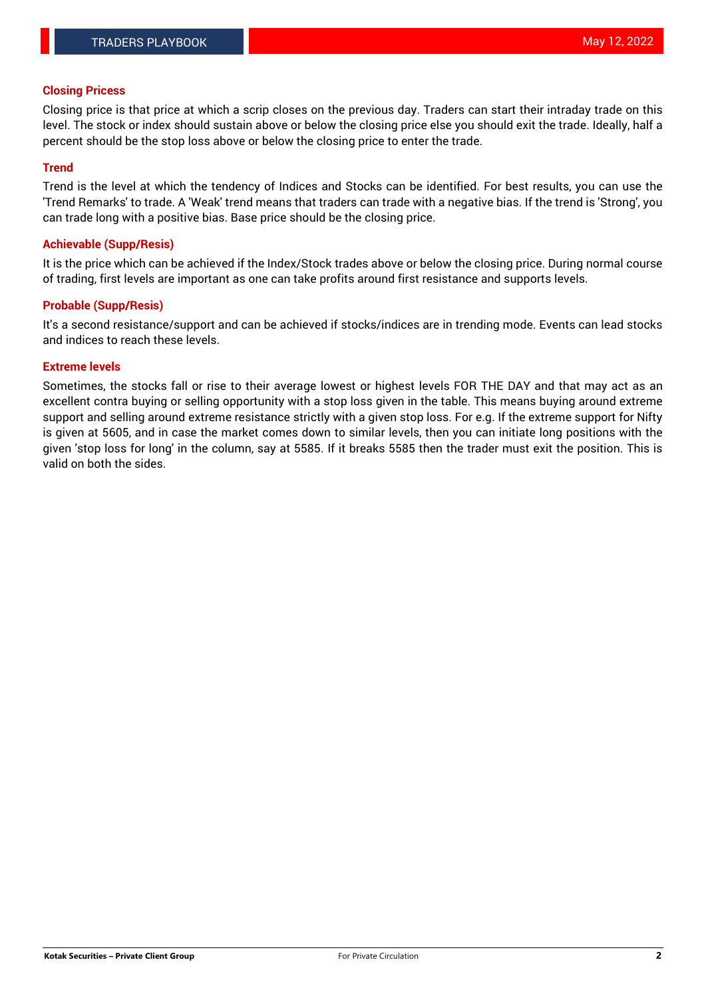### **Closing Pricess**

Closing price is that price at which a scrip closes on the previous day. Traders can start their intraday trade on this level. The stock or index should sustain above or below the closing price else you should exit the trade. Ideally, half a percent should be the stop loss above or below the closing price to enter the trade.

## **Trend**

Trend is the level at which the tendency of Indices and Stocks can be identified. For best results, you can use the 'Trend Remarks' to trade. A 'Weak' trend means that traders can trade with a negative bias. If the trend is 'Strong', you can trade long with a positive bias. Base price should be the closing price.

## **Achievable (Supp/Resis)**

It is the price which can be achieved if the Index/Stock trades above or below the closing price. During normal course of trading, first levels are important as one can take profits around first resistance and supports levels.

# **Probable (Supp/Resis)**

It's a second resistance/support and can be achieved if stocks/indices are in trending mode. Events can lead stocks and indices to reach these levels.

#### **Extreme levels**

Sometimes, the stocks fall or rise to their average lowest or highest levels FOR THE DAY and that may act as an excellent contra buying or selling opportunity with a stop loss given in the table. This means buying around extreme support and selling around extreme resistance strictly with a given stop loss. For e.g. If the extreme support for Nifty is given at 5605, and in case the market comes down to similar levels, then you can initiate long positions with the given 'stop loss for long' in the column, say at 5585. If it breaks 5585 then the trader must exit the position. This is valid on both the sides.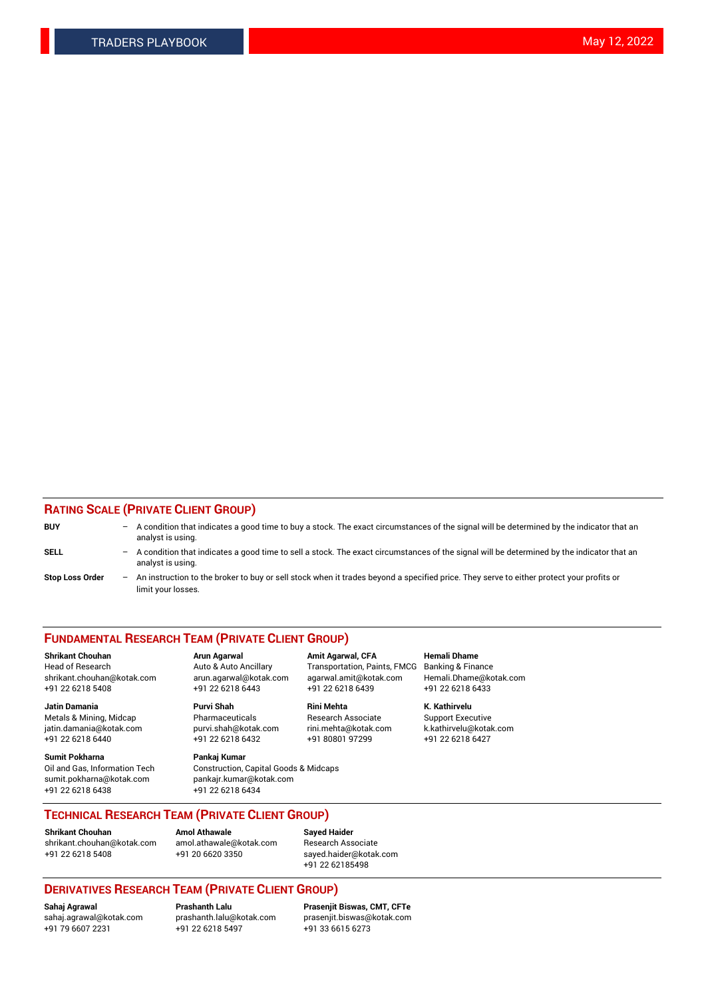# **RATING SCALE (PRIVATE CLIENT GROUP)**

| <b>BUY</b>             | -                 | A condition that indicates a good time to buy a stock. The exact circumstances of the signal will be determined by the indicator that an<br>analyst is using.  |
|------------------------|-------------------|----------------------------------------------------------------------------------------------------------------------------------------------------------------|
| SELL                   | $\qquad \qquad -$ | A condition that indicates a good time to sell a stock. The exact circumstances of the signal will be determined by the indicator that an<br>analyst is using. |
| <b>Stop Loss Order</b> | $\qquad \qquad -$ | An instruction to the broker to buy or sell stock when it trades beyond a specified price. They serve to either protect your profits or<br>limit your losses.  |

#### **FUNDAMENTAL RESEARCH TEAM (PRIVATE CLIENT GROUP)**

**Shrikant Chouhan Arun Agarwal Amit Agarwal, CFA Hemali Dhame** Head of Research Auto & Auto Ancillary Transportation, Paints, FMCG Banking & Finance shrikant.chouhan@kotak.com arun.agarwal@kotak.com agarwal.amit@kotak.com Hemali.Dhame@kotak.com

**Jatin Damania Purvi Shah Rini Mehta K. Kathirvelu** Metals & Mining, Midcap **Pharmaceuticals** Research Associate Support Executive jatin.damania@kotak.com [purvi.shah@kotak.com](mailto:purvi.shah@kotak.com) rini.mehta@kotak.com [k.kathirvelu@kotak.com](mailto:k.kathirvelu@kotak.com)

**Sumit Pokharna Pankaj Kumar** sumit.pokharna@kotak.com pankajr.kumar@kotak.com +91 22 6218 6438 +91 22 6218 6434

 $+91$  22 6218 6432

Oil and Gas, Information Tech Construction, Capital Goods & Midcaps

+91 22 6218 5408 +91 22 6218 6443 +91 22 6218 6439 +91 22 6218 6433

**TECHNICAL RESEARCH TEAM (PRIVATE CLIENT GROUP)**

[shrikant.chouhan@kotak.com](mailto:shrikant.chouhan@kotak.com) [amol.athawale@kotak.com](mailto:amol.athawale@kotak.com) Research Associate +91 22 6218 5408 +91 20 6620 3350 [sayed.haider@kotak.com](mailto:sayed.haider@kotak.com)

**Shrikant Chouhan Amol Athawale Sayed Haider**

+91 22 62185498

# **DERIVATIVES RESEARCH TEAM (PRIVATE CLIENT GROUP)**

 $+91$  22 6218 5497

**Sahaj Agrawal Prashanth Lalu Prasenjit Biswas, CMT, CFTe** [sahaj.agrawal@kotak.com](mailto:sahaj.agrawal@kotak.com) [prashanth.lalu@kotak.com](mailto:prashanth.lalu@kotak.com) [prasenjit.biswas@kotak.com](mailto:prasenjit.biswas@kotak.com)